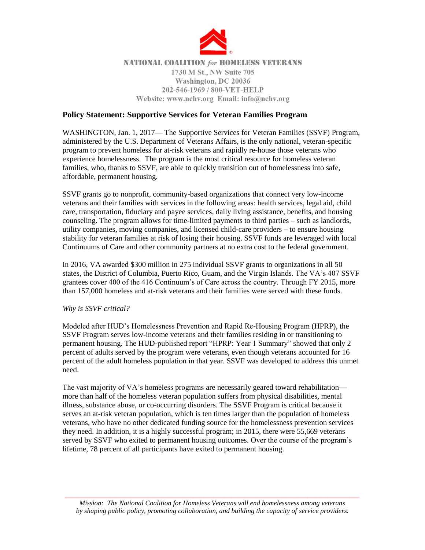

## **NATIONAL COALITION for HOMELESS VETERANS** 1730 M St., NW Suite 705 Washington, DC 20036 202-546-1969 / 800-VET-HELP Website: www.nchv.org Email: info@nchv.org

## **Policy Statement: Supportive Services for Veteran Families Program**

WASHINGTON, Jan. 1, 2017— The Supportive Services for Veteran Families (SSVF) Program, administered by the U.S. Department of Veterans Affairs, is the only national, veteran-specific program to prevent homeless for at-risk veterans and rapidly re-house those veterans who experience homelessness. The program is the most critical resource for homeless veteran families, who, thanks to SSVF, are able to quickly transition out of homelessness into safe, affordable, permanent housing.

SSVF grants go to nonprofit, community-based organizations that connect very low-income veterans and their families with services in the following areas: health services, legal aid, child care, transportation, fiduciary and payee services, daily living assistance, benefits, and housing counseling. The program allows for time-limited payments to third parties – such as landlords, utility companies, moving companies, and licensed child-care providers – to ensure housing stability for veteran families at risk of losing their housing. SSVF funds are leveraged with local Continuums of Care and other community partners at no extra cost to the federal government.

In 2016, VA awarded \$300 million in 275 individual SSVF grants to organizations in all 50 states, the District of Columbia, Puerto Rico, Guam, and the Virgin Islands. The VA's 407 SSVF grantees cover 400 of the 416 Continuum's of Care across the country. Through FY 2015, more than 157,000 homeless and at-risk veterans and their families were served with these funds.

*Why is SSVF critical?*

Modeled after HUD's Homelessness Prevention and Rapid Re-Housing Program (HPRP), the SSVF Program serves low-income veterans and their families residing in or transitioning to permanent housing. The HUD-published report "HPRP: Year 1 Summary" showed that only 2 percent of adults served by the program were veterans, even though veterans accounted for 16 percent of the adult homeless population in that year. SSVF was developed to address this unmet need.

The vast majority of VA's homeless programs are necessarily geared toward rehabilitation more than half of the homeless veteran population suffers from physical disabilities, mental illness, substance abuse, or co-occurring disorders. The SSVF Program is critical because it serves an at-risk veteran population, which is ten times larger than the population of homeless veterans, who have no other dedicated funding source for the homelessness prevention services they need. In addition, it is a highly successful program; in 2015, there were 55,669 veterans served by SSVF who exited to permanent housing outcomes. Over the course of the program's lifetime, 78 percent of all participants have exited to permanent housing.